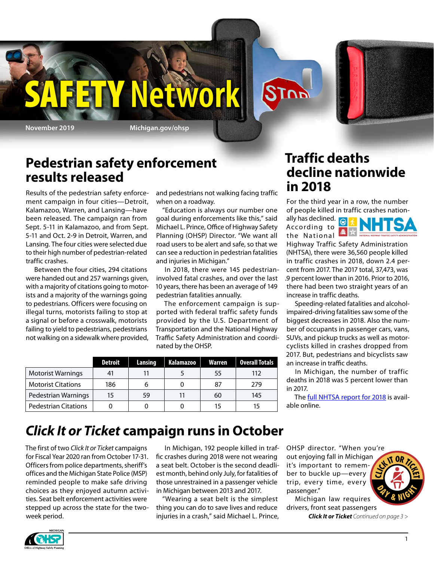

**Y'Network** 

### **Pedestrian safety enforcement results released**

Results of the pedestrian safety enforcement campaign in four cities—Detroit, Kalamazoo, Warren, and Lansing—have been released. The campaign ran from Sept. 5-11 in Kalamazoo, and from Sept. 5-11 and Oct. 2-9 in Detroit, Warren, and Lansing. The four cities were selected due to their high number of pedestrian-related traffic crashes.

Between the four cities, 294 citations were handed out and 257 warnings given, with a majority of citations going to motorists and a majority of the warnings going to pedestrians. Officers were focusing on illegal turns, motorists failing to stop at a signal or before a crosswalk, motorists failing to yield to pedestrians, pedestrians not walking on a sidewalk where provided, and pedestrians not walking facing traffic when on a roadway.

"Education is always our number one goal during enforcements like this," said Michael L. Prince, Office of Highway Safety Planning (OHSP) Director. "We want all road users to be alert and safe, so that we can see a reduction in pedestrian fatalities and injuries in Michigan."

In 2018, there were 145 pedestrianinvolved fatal crashes, and over the last 10 years, there has been an average of 149 pedestrian fatalities annually.

The enforcement campaign is supported with federal traffic safety funds provided by the U.S. Department of Transportation and the National Highway Traffic Safety Administration and coordinated by the OHSP.

|                             | <b>Detroit</b> | Lansing | <b>Kalamazoo</b> | Warren | Overall Totals |
|-----------------------------|----------------|---------|------------------|--------|----------------|
| <b>Motorist Warnings</b>    |                |         |                  | 55     | 112            |
| <b>Motorist Citations</b>   | 186            | b       | O                | 87     | 279            |
| Pedestrian Warnings         | 15             | 59      | 11               | 60     | 145            |
| <b>Pedestrian Citations</b> |                |         |                  | 15     |                |

### **Traffic deaths decline nationwide in 2018**

**STOP** 

For the third year in a row, the number of people killed in traffic crashes nation-

ally has declined.  $\bigcirc$ According to the National Highway Traffic Safety Administration (NHTSA), there were 36,560 people killed in traffic crashes in 2018, down 2.4 percent from 2017. The 2017 total, 37,473, was .9 percent lower than in 2016. Prior to 2016,

there had been two straight years of an increase in traffic deaths. Speeding-related fatalities and alcoholimpaired-driving fatalities saw some of the biggest decreases in 2018. Also the number of occupants in passenger cars, vans,

SUVs, and pickup trucks as well as motorcyclists killed in crashes dropped from 2017. But, pedestrians and bicyclists saw an increase in traffic deaths.

In Michigan, the number of traffic deaths in 2018 was 5 percent lower than in 2017.

The **full NHTSA report for 2018** is available online.

## *Click It or Ticket* **campaign runs in October**

The first of two *Click It or Ticket* campaigns for Fiscal Year 2020 ran from October 17-31. Officers from police departments, sheriff's offices and the Michigan State Police (MSP) reminded people to make safe driving choices as they enjoyed autumn activities. Seat belt enforcement activities were stepped up across the state for the twoweek period.

In Michigan, 192 people killed in traffic crashes during 2018 were not wearing a seat belt. October is the second deadliest month, behind only July, for fatalities of those unrestrained in a passenger vehicle in Michigan between 2013 and 2017.

"Wearing a seat belt is the simplest thing you can do to save lives and reduce injuries in a crash," said Michael L. Prince, OHSP director. "When you're out enjoying fall in Michigan it's important to remember to buckle up—every trip, every time, every passenger."

Michigan law requires drivers, front seat passengers

*Click It or Ticket Continued on page 3 >*

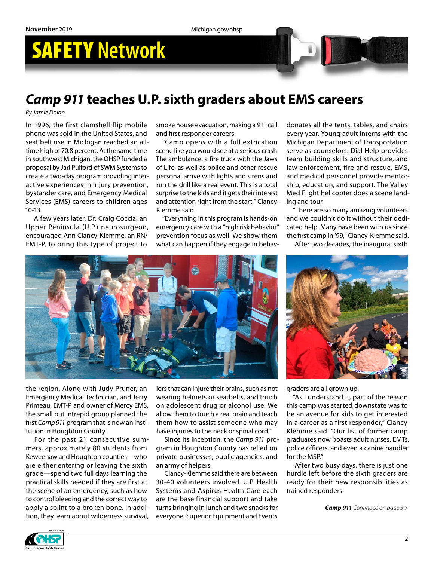# SAFETY **Network**

### *Camp 911* **teaches U.P. sixth graders about EMS careers**

*By Jamie Dolan*

In 1996, the first clamshell flip mobile phone was sold in the United States, and seat belt use in Michigan reached an alltime high of 70.8 percent. At the same time in southwest Michigan, the OHSP funded a proposal by Jari Pulford of SWM Systems to create a two-day program providing interactive experiences in injury prevention, bystander care, and Emergency Medical Services (EMS) careers to children ages 10-13.

A few years later, Dr. Craig Coccia, an Upper Peninsula (U.P.) neurosurgeon, encouraged Ann Clancy-Klemme, an RN/ EMT-P, to bring this type of project to

smoke house evacuation, making a 911 call, and first responder careers.

"Camp opens with a full extrication scene like you would see at a serious crash. The ambulance, a fire truck with the Jaws of Life, as well as police and other rescue personal arrive with lights and sirens and run the drill like a real event. This is a total surprise to the kids and it gets their interest and attention right from the start," Clancy-Klemme said.

"Everything in this program is hands-on emergency care with a "high risk behavior" prevention focus as well. We show them what can happen if they engage in behavdonates all the tents, tables, and chairs every year. Young adult interns with the Michigan Department of Transportation serve as counselors. Dial Help provides team building skills and structure, and law enforcement, fire and rescue, EMS, and medical personnel provide mentorship, education, and support. The Valley Med Flight helicopter does a scene landing and tour.

"There are so many amazing volunteers and we couldn't do it without their dedicated help. Many have been with us since the first camp in '99," Clancy-Klemme said.

After two decades, the inaugural sixth



the region. Along with Judy Pruner, an Emergency Medical Technician, and Jerry Primeau, EMT-P and owner of Mercy EMS, the small but intrepid group planned the first *Camp 911* program that is now an institution in Houghton County.

For the past 21 consecutive summers, approximately 80 students from Keweenaw and Houghton counties—who are either entering or leaving the sixth grade—spend two full days learning the practical skills needed if they are first at the scene of an emergency, such as how to control bleeding and the correct way to apply a splint to a broken bone. In addition, they learn about wilderness survival,

iors that can injure their brains, such as not wearing helmets or seatbelts, and touch on adolescent drug or alcohol use. We allow them to touch a real brain and teach them how to assist someone who may have injuries to the neck or spinal cord."

Since its inception, the *Camp 911* program in Houghton County has relied on private businesses, public agencies, and an army of helpers.

Clancy-Klemme said there are between 30-40 volunteers involved. U.P. Health Systems and Aspirus Health Care each are the base financial support and take turns bringing in lunch and two snacks for everyone. Superior Equipment and Events



graders are all grown up.

"As I understand it, part of the reason this camp was started downstate was to be an avenue for kids to get interested in a career as a first responder," Clancy-Klemme said. "Our list of former camp graduates now boasts adult nurses, EMTs, police officers, and even a canine handler for the MSP."

After two busy days, there is just one hurdle left before the sixth graders are ready for their new responsibilities as trained responders.

*Camp 911 Continued on page 3 >*

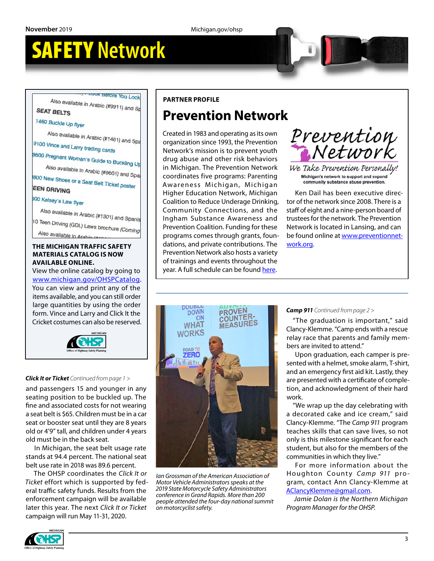## SAFETY **Network**

**Perore You Lock** Also available in Arabic (#9911) and S

#### **SEAT BELTS**

1460 Buckle Up flyer

Also available in Arabic (#1461) and Spa

9100 Vince and Larry trading cards

9600 Pregnant Woman's Guide to Buckling Up

Also available in Arabic (#9601) and Spa 800 New Shoes or a Seat Belt Ticket poster

**EEN DRIVING** 

#### 300 Kelsey's Law flyer

Also available in Arabic (#1301) and Spanis 10 Teen Driving (GDL) Laws brochure (Coming Also available in Arabio (#14

#### **THE MICHIGAN TRAFFIC SAFETY MATERIALS CATALOG IS NOW AVAILABLE ONLINE.**

View the online catalog by going to [www.michigan.gov/OHSPCatalog.](http://www.michigan.gov/OHSPCatalog) You can view and print any of the items available, and you can still order large quantities by using the order form. Vince and Larry and Click It the Cricket costumes can also be reserved.



#### *Click It or Ticket Continued from page 1 >*

and passengers 15 and younger in any seating position to be buckled up. The fine and associated costs for not wearing a seat belt is \$65. Children must be in a car seat or booster seat until they are 8 years old or 4'9" tall, and children under 4 years old must be in the back seat.

In Michigan, the seat belt usage rate stands at 94.4 percent. The national seat belt use rate in 2018 was 89.6 percent.

The OHSP coordinates the *Click It or Ticket* effort which is supported by federal traffic safety funds. Results from the enforcement campaign will be available later this year. The next *Click It or Ticket* campaign will run May 11-31, 2020.

#### **PARTNER PROFILE**

### **Prevention Network**

Created in 1983 and operating as its own organization since 1993, the Prevention Network's mission is to prevent youth drug abuse and other risk behaviors in Michigan. The Prevention Network coordinates five programs: Parenting Awareness Michigan, Michigan Higher Education Network, Michigan Coalition to Reduce Underage Drinking, Community Connections, and the Ingham Substance Awareness and Prevention Coalition. Funding for these programs comes through grants, foundations, and private contributions. The Prevention Network also hosts a variety of trainings and events throughout the year. A full schedule can be found [here.](https://www.preventionnetwork.org/trainings-events)



We Take Prevention Personally! Michigan's network to support and expand community substance abuse prevention.

Ken Dail has been executive director of the network since 2008. There is a staff of eight and a nine-person board of trustees for the network. The Prevention Network is located in Lansing, and can be found online at [www.preventionnet](http://www.preventionnetwork.org)[work.org.](http://www.preventionnetwork.org)



*Ian Grossman of the American Association of Motor Vehicle Administrators speaks at the 2019 State Motorcycle Safety Administrators conference in Grand Rapids. More than 200 people attended the four-day national summit on motorcyclist safety.*

#### *Camp 911 Continued from page 2 >*

"The graduation is important," said Clancy-Klemme. "Camp ends with a rescue relay race that parents and family members are invited to attend."

Upon graduation, each camper is presented with a helmet, smoke alarm, T-shirt, and an emergency first aid kit. Lastly, they are presented with a certificate of completion, and acknowledgment of their hard work.

"We wrap up the day celebrating with a decorated cake and ice cream," said Clancy-Klemme. "The *Camp 911* program teaches skills that can save lives, so not only is this milestone significant for each student, but also for the members of the communities in which they live."

For more information about the Houghton County *Camp 911* program, contact Ann Clancy-Klemme at [AClancyKlemme@gmail.com.](mailto:AClancyKlemme@gmail.com)

*Jamie Dolan is the Northern Michigan Program Manager for the OHSP.*

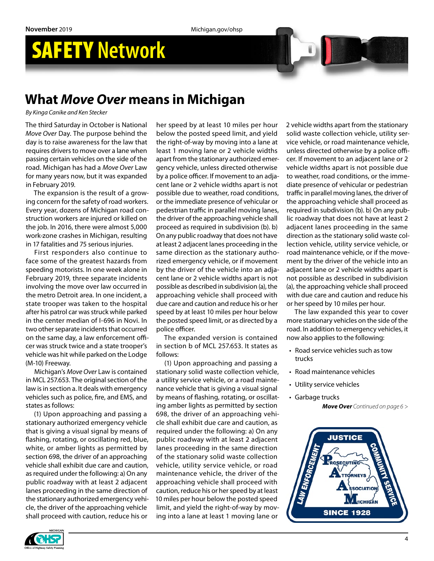## SAFETY **Network**

### **What** *Move Over* **means in Michigan**

*By Kinga Canike and Ken Stecker*

The third Saturday in October is National *Move Over* Day. The purpose behind the day is to raise awareness for the law that requires drivers to move over a lane when passing certain vehicles on the side of the road. Michigan has had a *Move Over* Law for many years now, but it was expanded in February 2019.

The expansion is the result of a growing concern for the safety of road workers. Every year, dozens of Michigan road construction workers are injured or killed on the job. In 2016, there were almost 5,000 work-zone crashes in Michigan, resulting in 17 fatalities and 75 serious injuries.

First responders also continue to face some of the greatest hazards from speeding motorists. In one week alone in February 2019, three separate incidents involving the move over law occurred in the metro Detroit area. In one incident, a state trooper was taken to the hospital after his patrol car was struck while parked in the center median of I-696 in Novi. In two other separate incidents that occurred on the same day, a law enforcement officer was struck twice and a state trooper's vehicle was hit while parked on the Lodge (M-10) Freeway.

Michigan's *Move Over* Law is contained in MCL 257.653. The original section of the law is in section a. It deals with emergency vehicles such as police, fire, and EMS, and states as follows:

(1) Upon approaching and passing a stationary authorized emergency vehicle that is giving a visual signal by means of flashing, rotating, or oscillating red, blue, white, or amber lights as permitted by section 698, the driver of an approaching vehicle shall exhibit due care and caution, as required under the following: a) On any public roadway with at least 2 adjacent lanes proceeding in the same direction of the stationary authorized emergency vehicle, the driver of the approaching vehicle shall proceed with caution, reduce his or

her speed by at least 10 miles per hour below the posted speed limit, and yield the right-of-way by moving into a lane at least 1 moving lane or 2 vehicle widths apart from the stationary authorized emergency vehicle, unless directed otherwise by a police officer. If movement to an adjacent lane or 2 vehicle widths apart is not possible due to weather, road conditions, or the immediate presence of vehicular or pedestrian traffic in parallel moving lanes, the driver of the approaching vehicle shall proceed as required in subdivision (b). b) On any public roadway that does not have at least 2 adjacent lanes proceeding in the same direction as the stationary authorized emergency vehicle, or if movement by the driver of the vehicle into an adjacent lane or 2 vehicle widths apart is not possible as described in subdivision (a), the approaching vehicle shall proceed with due care and caution and reduce his or her speed by at least 10 miles per hour below the posted speed limit, or as directed by a police officer.

The expanded version is contained in section b of MCL 257.653. It states as follows:

(1) Upon approaching and passing a stationary solid waste collection vehicle, a utility service vehicle, or a road maintenance vehicle that is giving a visual signal by means of flashing, rotating, or oscillating amber lights as permitted by section 698, the driver of an approaching vehicle shall exhibit due care and caution, as required under the following: a) On any public roadway with at least 2 adjacent lanes proceeding in the same direction of the stationary solid waste collection vehicle, utility service vehicle, or road maintenance vehicle, the driver of the approaching vehicle shall proceed with caution, reduce his or her speed by at least 10 miles per hour below the posted speed limit, and yield the right-of-way by moving into a lane at least 1 moving lane or

2 vehicle widths apart from the stationary solid waste collection vehicle, utility service vehicle, or road maintenance vehicle, unless directed otherwise by a police officer. If movement to an adjacent lane or 2 vehicle widths apart is not possible due to weather, road conditions, or the immediate presence of vehicular or pedestrian traffic in parallel moving lanes, the driver of the approaching vehicle shall proceed as required in subdivision (b). b) On any public roadway that does not have at least 2 adjacent lanes proceeding in the same direction as the stationary solid waste collection vehicle, utility service vehicle, or road maintenance vehicle, or if the movement by the driver of the vehicle into an adjacent lane or 2 vehicle widths apart is not possible as described in subdivision (a), the approaching vehicle shall proceed with due care and caution and reduce his or her speed by 10 miles per hour.

The law expanded this year to cover more stationary vehicles on the side of the road. In addition to emergency vehicles, it now also applies to the following:

- Road service vehicles such as tow trucks
- Road maintenance vehicles
- Utility service vehicles
- *Move Over Continued on page 6 >* • Garbage trucks



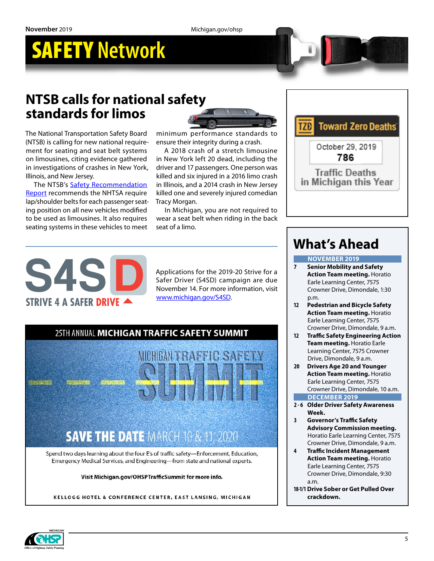## SAFETY **Network**

### **NTSB calls for national safety standards for limos**

The National Transportation Safety Board (NTSB) is calling for new national requirement for seating and seat belt systems on limousines, citing evidence gathered in investigations of crashes in New York, Illinois, and New Jersey.

The NTSB's [Safety Recommendation](https://ntsb.gov/investigations/AccidentReports/Reports/HSR1902.pdf)  [Report](https://ntsb.gov/investigations/AccidentReports/Reports/HSR1902.pdf) recommends the NHTSA require lap/shoulder belts for each passenger seating position on all new vehicles modified to be used as limousines. It also requires seating systems in these vehicles to meet



minimum performance standards to ensure their integrity during a crash.

A 2018 crash of a stretch limousine in New York left 20 dead, including the driver and 17 passengers. One person was killed and six injured in a 2016 limo crash in Illinois, and a 2014 crash in New Jersey killed one and severely injured comedian Tracy Morgan.

In Michigan, you are not required to wear a seat belt when riding in the back seat of a limo.



Applications for the 2019-20 Strive for a Safer Driver (S4SD) campaign are due November 14. For more information, visit [www.michigan.gov/S4SD](http://www.michigan.gov/S4SD).



KELLOGG HOTEL & CONFERENCE CENTER, EAST LANSING, MICHIGAN



## **What's Ahead**

#### **NOVEMBER 2019**

- **7 Senior Mobility and Safety Action Team meeting.** Horatio Earle Learning Center, 7575 Crowner Drive, Dimondale, 1:30 p.m.
- **12 Pedestrian and Bicycle Safety Action Team meeting.** Horatio Earle Learning Center, 7575 Crowner Drive, Dimondale, 9 a.m.
- **12 Traffic Safety Engineering Action Team meeting.** Horatio Earle Learning Center, 7575 Crowner Drive, Dimondale, 9 a.m.
- **20 Drivers Age 20 and Younger Action Team meeting.** Horatio Earle Learning Center, 7575 Crowner Drive, Dimondale, 10 a.m. **DECEMBER 2019**
- **2 6 Older Driver Safety Awareness Week.**
- **3 Governor's Traffic Safety Advisory Commission meeting.** Horatio Earle Learning Center, 7575 Crowner Drive, Dimondale, 9 a.m.
- **4 Traffic Incident Management Action Team meeting.** Horatio Earle Learning Center, 7575 Crowner Drive, Dimondale, 9:30 a.m.
- **18-1/1Drive Sober or Get Pulled Over crackdown.**

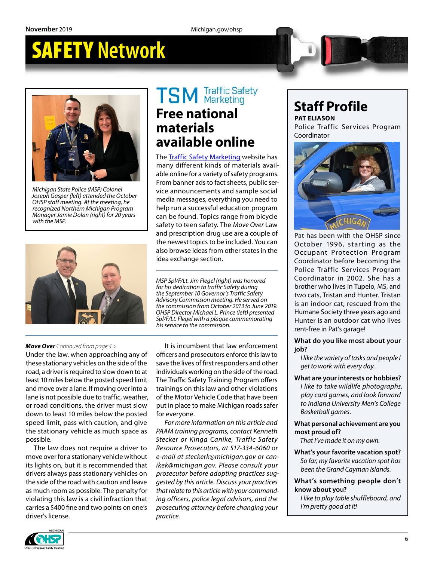## SAFETY **Network**



*Michigan State Police (MSP) Colonel Joseph Gasper (left) attended the October OHSP staff meeting. At the meeting, he recognized Northern Michigan Program Manager Jamie Dolan (right) for 20 years with the MSP.*



# **TSM** Traffic Safety

#### **Free national materials available online**

The [Traffic Safety Marketing](https://www.trafficsafetymarketing.gov/) website has many different kinds of materials available online for a variety of safety programs. From banner ads to fact sheets, public service announcements and sample social media messages, everything you need to help run a successful education program can be found. Topics range from bicycle safety to teen safety. The *Move Over* Law and prescription drug use are a couple of the newest topics to be included. You can also browse ideas from other states in the idea exchange section.

*MSP Spl/F/Lt. Jim Flegel (right) was honored for his dedication to traffic Safety during the September 10 Governor's Traffic Safety Advisory Commission meeting. He served on the commission from October 2013 to June 2019. OHSP Director Michael L. Prince (left) presented Spl/F/Lt. Flegel with a plaque commemorating his service to the commission.* 

#### *Move Over Continued from page 4 >*

Under the law, when approaching any of these stationary vehicles on the side of the road, a driver is required to slow down to at least 10 miles below the posted speed limit and move over a lane. If moving over into a lane is not possible due to traffic, weather, or road conditions, the driver must slow down to least 10 miles below the posted speed limit, pass with caution, and give the stationary vehicle as much space as possible.

The law does not require a driver to move over for a stationary vehicle without its lights on, but it is recommended that drivers always pass stationary vehicles on the side of the road with caution and leave as much room as possible. The penalty for violating this law is a civil infraction that carries a \$400 fine and two points on one's driver's license.

It is incumbent that law enforcement officers and prosecutors enforce this law to save the lives of first responders and other individuals working on the side of the road. The Traffic Safety Training Program offers trainings on this law and other violations of the Motor Vehicle Code that have been put in place to make Michigan roads safer for everyone.

*For more information on this article and PAAM training programs, contact Kenneth Stecker or Kinga Canike, Traffic Safety Resource Prosecutors, at 517-334-6060 or e-mail at [steckerk@michigan.gov](mailto:steckerk@michigan.gov) or [can](mailto:canikek@michigan.gov)[ikek@michigan.gov.](mailto:canikek@michigan.gov) Please consult your prosecutor before adopting practices suggested by this article. Discuss your practices that relate to this article with your commanding officers, police legal advisors, and the prosecuting attorney before changing your practice.*

## **Staff Profile**

**PAT ELIASON** Police Traffic Services Program Coordinator



Pat has been with the OHSP since October 1996, starting as the Occupant Protection Program Coordinator before becoming the Police Traffic Services Program Coordinator in 2002. She has a brother who lives in Tupelo, MS, and two cats, Tristan and Hunter. Tristan is an indoor cat, rescued from the Humane Society three years ago and Hunter is an outdoor cat who lives rent-free in Pat's garage!

**What do you like most about your job?**

*I like the variety of tasks and people I get to work with every day.*

**What are your interests or hobbies?** *I like to take wildlife photographs, play card games, and look forward to Indiana University Men's College Basketball games.*

**What personal achievement are you most proud of?**

*That I've made it on my own.*

**What's your favorite vacation spot?** *So far, my favorite vacation spot has been the Grand Cayman Islands.*

**What's something people don't know about you?**

*I like to play table shuffleboard, and I'm pretty good at it!*